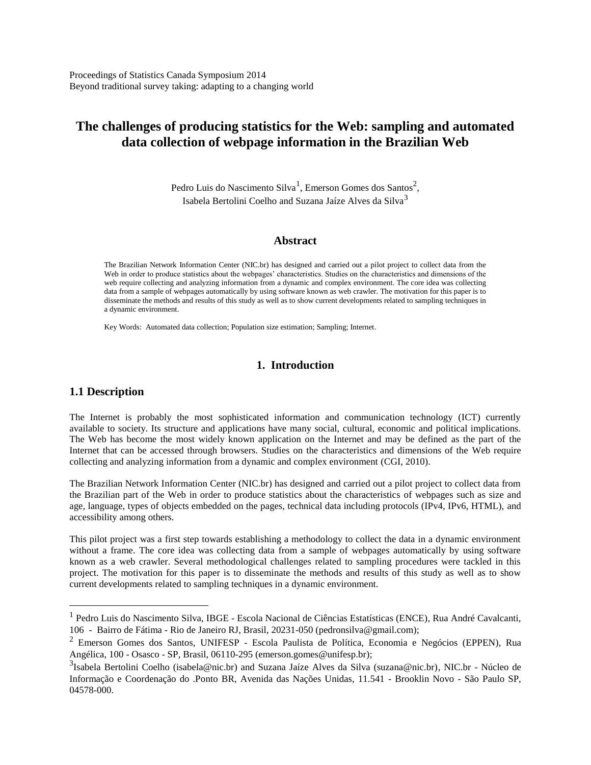# **The challenges of producing statistics for the Web: sampling and automated data collection of webpage information in the Brazilian Web**

Pedro Luis do Nascimento Silva<sup>1</sup>, Emerson Gomes dos Santos<sup>2</sup>, Isabela Bertolini Coelho and Suzana Jaíze Alves da Silva<sup>3</sup>

### **Abstract**

The Brazilian Network Information Center (NIC.br) has designed and carried out a pilot project to collect data from the Web in order to produce statistics about the webpages' characteristics. Studies on the characteristics and dimensions of the web require collecting and analyzing information from a dynamic and complex environment. The core idea was collecting data from a sample of webpages automatically by using software known as web crawler. The motivation for this paper is to disseminate the methods and results of this study as well as to show current developments related to sampling techniques in a dynamic environment.

Key Words: Automated data collection; Population size estimation; Sampling; Internet.

### **1. Introduction**

### **1.1 Description**

 $\overline{a}$ 

The Internet is probably the most sophisticated information and communication technology (ICT) currently available to society. Its structure and applications have many social, cultural, economic and political implications. The Web has become the most widely known application on the Internet and may be defined as the part of the Internet that can be accessed through browsers. Studies on the characteristics and dimensions of the Web require collecting and analyzing information from a dynamic and complex environment (CGI, 2010).

The Brazilian Network Information Center (NIC.br) has designed and carried out a pilot project to collect data from the Brazilian part of the Web in order to produce statistics about the characteristics of webpages such as size and age, language, types of objects embedded on the pages, technical data including protocols (IPv4, IPv6, HTML), and accessibility among others.

This pilot project was a first step towards establishing a methodology to collect the data in a dynamic environment without a frame. The core idea was collecting data from a sample of webpages automatically by using software known as a web crawler. Several methodological challenges related to sampling procedures were tackled in this project. The motivation for this paper is to disseminate the methods and results of this study as well as to show current developments related to sampling techniques in a dynamic environment.

<sup>&</sup>lt;sup>1</sup> Pedro Luis do Nascimento Silva, IBGE - Escola Nacional de Ciências Estatísticas (ENCE), Rua André Cavalcanti, 106 - Bairro de Fátima - Rio de Janeiro RJ, Brasil, 20231-050 (pedronsilva@gmail.com);

<sup>2</sup> Emerson Gomes dos Santos, UNIFESP - Escola Paulista de Política, Economia e Negócios (EPPEN), Rua Angélica, 100 - Osasco - SP, Brasil, 06110-295 (emerson.gomes@unifesp.br);

<sup>&</sup>lt;sup>3</sup>Isabela Bertolini Coelho (isabela@nic.br) and Suzana Jaíze Alves da Silva (suzana@nic.br), NIC.br - Núcleo de Informação e Coordenação do .Ponto BR, Avenida das Nações Unidas, 11.541 - Brooklin Novo - São Paulo SP, 04578-000.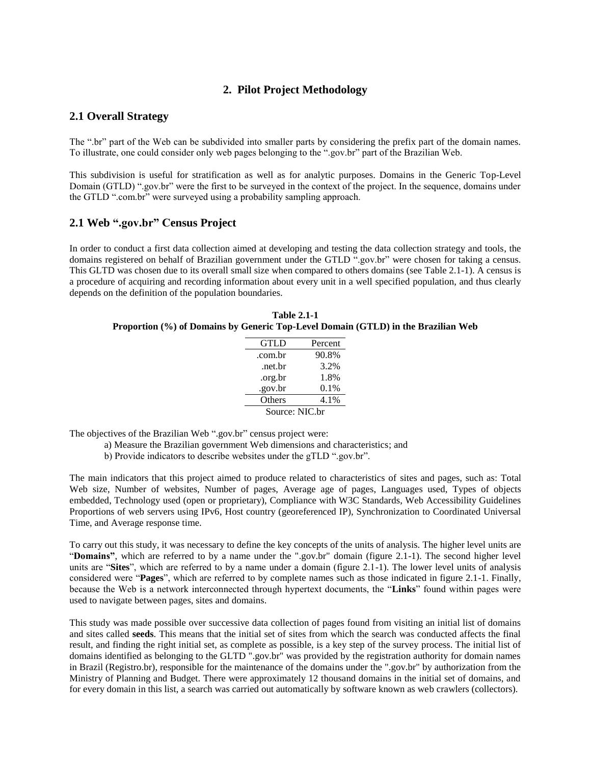# **2. Pilot Project Methodology**

### **2.1 Overall Strategy**

The ".br" part of the Web can be subdivided into smaller parts by considering the prefix part of the domain names. To illustrate, one could consider only web pages belonging to the ".gov.br" part of the Brazilian Web.

This subdivision is useful for stratification as well as for analytic purposes. Domains in the Generic Top-Level Domain (GTLD) ".gov.br" were the first to be surveyed in the context of the project. In the sequence, domains under the GTLD ".com.br" were surveyed using a probability sampling approach.

# **2.1 Web ".gov.br" Census Project**

In order to conduct a first data collection aimed at developing and testing the data collection strategy and tools, the domains registered on behalf of Brazilian government under the GTLD ".gov.br" were chosen for taking a census. This GLTD was chosen due to its overall small size when compared to others domains (see Table 2.1-1). A census is a procedure of acquiring and recording information about every unit in a well specified population, and thus clearly depends on the definition of the population boundaries.

**Table 2.1-1 Proportion (%) of Domains by Generic Top-Level Domain (GTLD) in the Brazilian Web**

| <b>GTLD</b>    | Percent |  |
|----------------|---------|--|
| .com.br        | 90.8%   |  |
| .net.br        | 3.2%    |  |
| .org.br        | 1.8%    |  |
| .gov.br        | 0.1%    |  |
| Others         | 4.1%    |  |
| Source: NIC.br |         |  |

The objectives of the Brazilian Web ".gov.br" census project were:

a) Measure the Brazilian government Web dimensions and characteristics; and

b) Provide indicators to describe websites under the gTLD ".gov.br".

The main indicators that this project aimed to produce related to characteristics of sites and pages, such as: Total Web size, Number of websites, Number of pages, Average age of pages, Languages used, Types of objects embedded, Technology used (open or proprietary), Compliance with W3C Standards, Web Accessibility Guidelines Proportions of web servers using IPv6, Host country (georeferenced IP), Synchronization to Coordinated Universal Time, and Average response time.

To carry out this study, it was necessary to define the key concepts of the units of analysis. The higher level units are "**Domains"**, which are referred to by a name under the ".gov.br" domain (figure 2.1-1). The second higher level units are "**Sites**", which are referred to by a name under a domain (figure 2.1-1). The lower level units of analysis considered were "**Pages**", which are referred to by complete names such as those indicated in figure 2.1-1. Finally, because the Web is a network interconnected through hypertext documents, the "**Links**" found within pages were used to navigate between pages, sites and domains.

This study was made possible over successive data collection of pages found from visiting an initial list of domains and sites called **seeds**. This means that the initial set of sites from which the search was conducted affects the final result, and finding the right initial set, as complete as possible, is a key step of the survey process. The initial list of domains identified as belonging to the GLTD ".gov.br" was provided by the registration authority for domain names in Brazil (Registro.br), responsible for the maintenance of the domains under the ".gov.br" by authorization from the Ministry of Planning and Budget. There were approximately 12 thousand domains in the initial set of domains, and for every domain in this list, a search was carried out automatically by software known as web crawlers (collectors).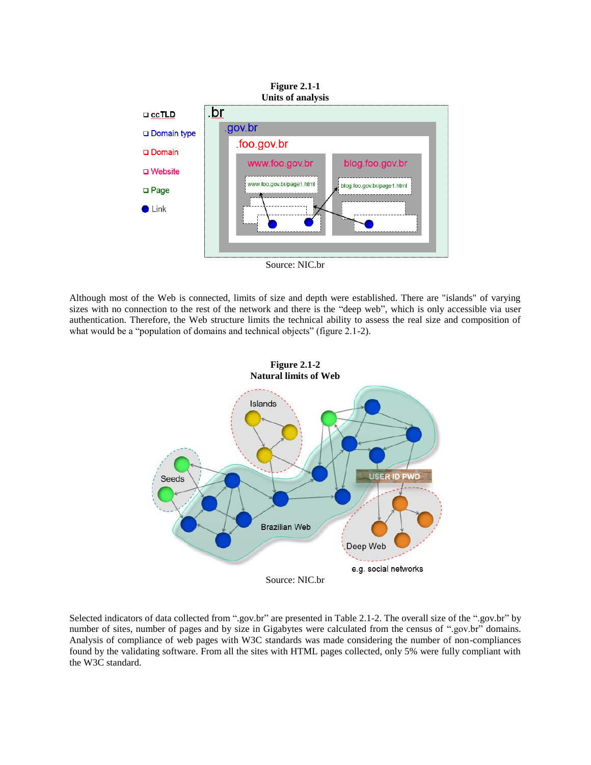

Source: NIC.br

Although most of the Web is connected, limits of size and depth were established. There are "islands" of varying sizes with no connection to the rest of the network and there is the "deep web", which is only accessible via user authentication. Therefore, the Web structure limits the technical ability to assess the real size and composition of what would be a "population of domains and technical objects" (figure 2.1-2).



Selected indicators of data collected from ".gov.br" are presented in Table 2.1-2. The overall size of the ".gov.br" by number of sites, number of pages and by size in Gigabytes were calculated from the census of ".gov.br" domains. Analysis of compliance of web pages with W3C standards was made considering the number of non-compliances found by the validating software. From all the sites with HTML pages collected, only 5% were fully compliant with the W3C standard.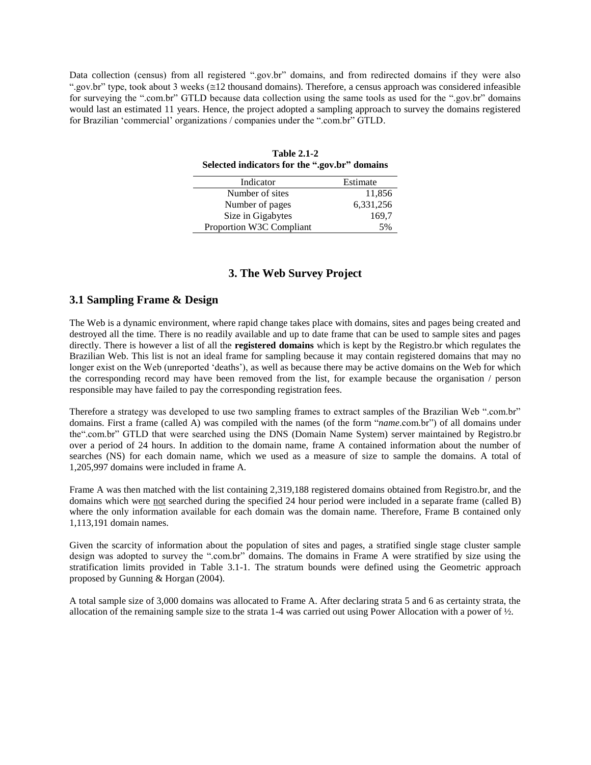Data collection (census) from all registered ".gov.br" domains, and from redirected domains if they were also ".gov.br" type, took about 3 weeks ( $\leq 12$  thousand domains). Therefore, a census approach was considered infeasible for surveying the ".com.br" GTLD because data collection using the same tools as used for the ".gov.br" domains would last an estimated 11 years. Hence, the project adopted a sampling approach to survey the domains registered for Brazilian 'commercial' organizations / companies under the ".com.br" GTLD.

| <b>Table 2.1-2</b>                            |  |  |  |  |
|-----------------------------------------------|--|--|--|--|
| Selected indicators for the ".gov.br" domains |  |  |  |  |

| Indicator                | Estimate  |  |
|--------------------------|-----------|--|
| Number of sites          | 11,856    |  |
| Number of pages          | 6,331,256 |  |
| Size in Gigabytes        | 169.7     |  |
| Proportion W3C Compliant | .5%       |  |

#### **3. The Web Survey Project**

### **3.1 Sampling Frame & Design**

The Web is a dynamic environment, where rapid change takes place with domains, sites and pages being created and destroyed all the time. There is no readily available and up to date frame that can be used to sample sites and pages directly. There is however a list of all the **registered domains** which is kept by the Registro.br which regulates the Brazilian Web. This list is not an ideal frame for sampling because it may contain registered domains that may no longer exist on the Web (unreported 'deaths'), as well as because there may be active domains on the Web for which the corresponding record may have been removed from the list, for example because the organisation / person responsible may have failed to pay the corresponding registration fees.

Therefore a strategy was developed to use two sampling frames to extract samples of the Brazilian Web ".com.br" domains. First a frame (called A) was compiled with the names (of the form "*name*.com.br") of all domains under the".com.br" GTLD that were searched using the DNS (Domain Name System) server maintained by Registro.br over a period of 24 hours. In addition to the domain name, frame A contained information about the number of searches (NS) for each domain name, which we used as a measure of size to sample the domains. A total of 1,205,997 domains were included in frame A.

Frame A was then matched with the list containing 2,319,188 registered domains obtained from Registro.br, and the domains which were not searched during the specified 24 hour period were included in a separate frame (called B) where the only information available for each domain was the domain name. Therefore, Frame B contained only 1,113,191 domain names.

Given the scarcity of information about the population of sites and pages, a stratified single stage cluster sample design was adopted to survey the ".com.br" domains. The domains in Frame A were stratified by size using the stratification limits provided in Table 3.1-1. The stratum bounds were defined using the Geometric approach proposed by Gunning & Horgan (2004).

A total sample size of 3,000 domains was allocated to Frame A. After declaring strata 5 and 6 as certainty strata, the allocation of the remaining sample size to the strata 1-4 was carried out using Power Allocation with a power of ½.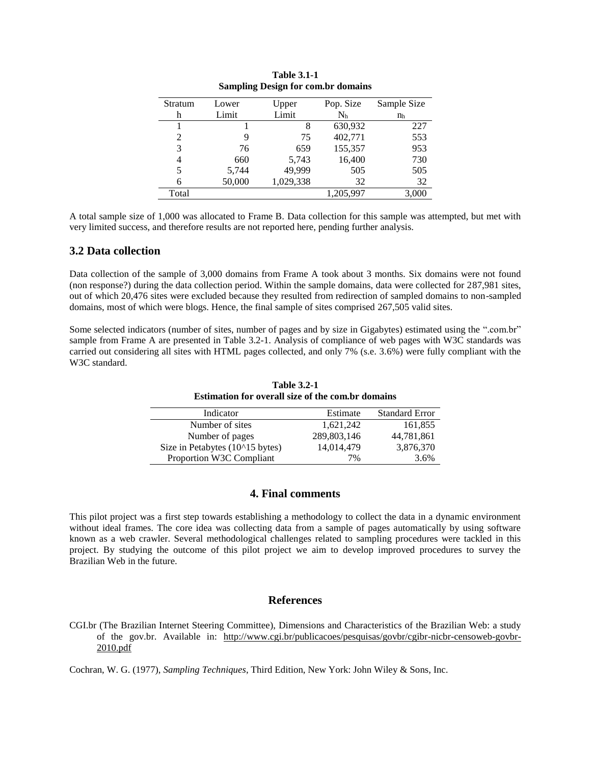| Stratum | Lower  | Upper     | Pop. Size | Sample Size    |
|---------|--------|-----------|-----------|----------------|
| h       | Limit  | Limit     | $\rm N_h$ | n <sub>h</sub> |
|         |        | 8         | 630,932   | 227            |
| 2       | 9      | 75        | 402,771   | 553            |
| 3       | 76     | 659       | 155,357   | 953            |
| 4       | 660    | 5,743     | 16,400    | 730            |
| 5       | 5,744  | 49,999    | 505       | 505            |
| 6       | 50,000 | 1,029,338 | 32        | 32             |
| Total   |        |           | 1,205,997 | 3,000          |

| <b>Table 3.1-1</b>                        |  |  |
|-------------------------------------------|--|--|
| <b>Sampling Design for com.br domains</b> |  |  |

A total sample size of 1,000 was allocated to Frame B. Data collection for this sample was attempted, but met with very limited success, and therefore results are not reported here, pending further analysis.

### **3.2 Data collection**

Data collection of the sample of 3,000 domains from Frame A took about 3 months. Six domains were not found (non response?) during the data collection period. Within the sample domains, data were collected for 287,981 sites, out of which 20,476 sites were excluded because they resulted from redirection of sampled domains to non-sampled domains, most of which were blogs. Hence, the final sample of sites comprised 267,505 valid sites.

Some selected indicators (number of sites, number of pages and by size in Gigabytes) estimated using the ".com.br" sample from Frame A are presented in Table 3.2-1. Analysis of compliance of web pages with W3C standards was carried out considering all sites with HTML pages collected, and only 7% (s.e. 3.6%) were fully compliant with the W3C standard.

| <b>Estimation for overall size of the com.br domains</b> |             |                       |  |  |
|----------------------------------------------------------|-------------|-----------------------|--|--|
| Indicator                                                | Estimate    | <b>Standard Error</b> |  |  |
| Number of sites                                          | 1.621.242   | 161,855               |  |  |
| Number of pages                                          | 289,803,146 | 44,781,861            |  |  |
| Size in Petabytes (10^15 bytes)                          | 14,014,479  | 3,876,370             |  |  |
| Proportion W3C Compliant                                 | 7%          | 3.6%                  |  |  |

**Table 3.2-1**

## **4. Final comments**

This pilot project was a first step towards establishing a methodology to collect the data in a dynamic environment without ideal frames. The core idea was collecting data from a sample of pages automatically by using software known as a web crawler. Several methodological challenges related to sampling procedures were tackled in this project. By studying the outcome of this pilot project we aim to develop improved procedures to survey the Brazilian Web in the future.

### **References**

CGI.br (The Brazilian Internet Steering Committee), Dimensions and Characteristics of the Brazilian Web: a study of the gov.br. Available in: [http://www.cgi.br/publicacoes/pesquisas/govbr/cgibr-nicbr-censoweb-govbr-](http://www.cgi.br/publicacoes/pesquisas/govbr/cgibr-nicbr-censoweb-govbr-2010.pdf)[2010.pdf](http://www.cgi.br/publicacoes/pesquisas/govbr/cgibr-nicbr-censoweb-govbr-2010.pdf)

Cochran, W. G. (1977), *Sampling Techniques*, Third Edition, New York: John Wiley & Sons, Inc.